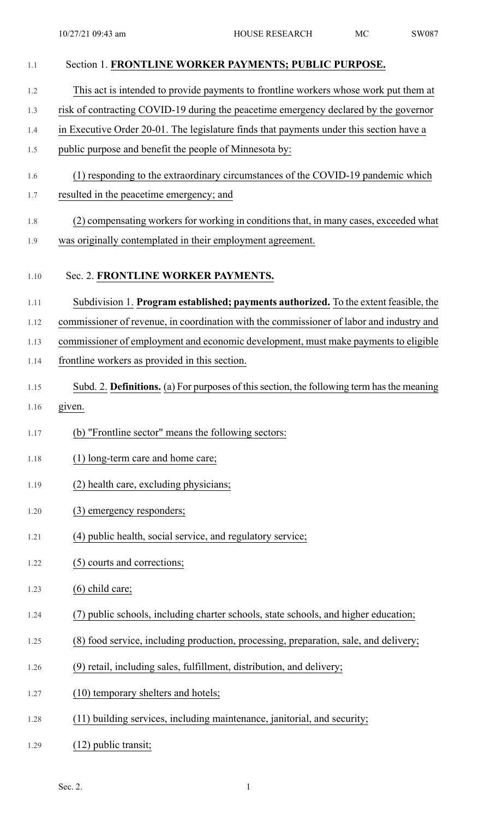| 1.1  | Section 1. FRONTLINE WORKER PAYMENTS; PUBLIC PURPOSE.                                      |
|------|--------------------------------------------------------------------------------------------|
| 1.2  | This act is intended to provide payments to frontline workers whose work put them at       |
| 1.3  | risk of contracting COVID-19 during the peacetime emergency declared by the governor       |
| 1.4  | in Executive Order 20-01. The legislature finds that payments under this section have a    |
| 1.5  | public purpose and benefit the people of Minnesota by:                                     |
| 1.6  | (1) responding to the extraordinary circumstances of the COVID-19 pandemic which           |
| 1.7  | resulted in the peacetime emergency; and                                                   |
| 1.8  | (2) compensating workers for working in conditions that, in many cases, exceeded what      |
| 1.9  | was originally contemplated in their employment agreement.                                 |
| 1.10 | Sec. 2. FRONTLINE WORKER PAYMENTS.                                                         |
| 1.11 | Subdivision 1. Program established; payments authorized. To the extent feasible, the       |
| 1.12 | commissioner of revenue, in coordination with the commissioner of labor and industry and   |
| 1.13 | commissioner of employment and economic development, must make payments to eligible        |
| 1.14 | frontline workers as provided in this section.                                             |
| 1.15 | Subd. 2. Definitions. (a) For purposes of this section, the following term has the meaning |
| 1.16 | given.                                                                                     |
| 1.17 | (b) "Frontline sector" means the following sectors:                                        |
| 1.18 | (1) long-term care and home care;                                                          |
| 1.19 | (2) health care, excluding physicians;                                                     |
| 1.20 | (3) emergency responders;                                                                  |
| 1.21 | (4) public health, social service, and regulatory service;                                 |
| 1.22 | (5) courts and corrections;                                                                |
| 1.23 | $(6)$ child care;                                                                          |
| 1.24 | (7) public schools, including charter schools, state schools, and higher education;        |
| 1.25 | (8) food service, including production, processing, preparation, sale, and delivery;       |
| 1.26 | (9) retail, including sales, fulfillment, distribution, and delivery;                      |
| 1.27 | (10) temporary shelters and hotels;                                                        |
| 1.28 | (11) building services, including maintenance, janitorial, and security;                   |
| 1.29 | $(12)$ public transit;                                                                     |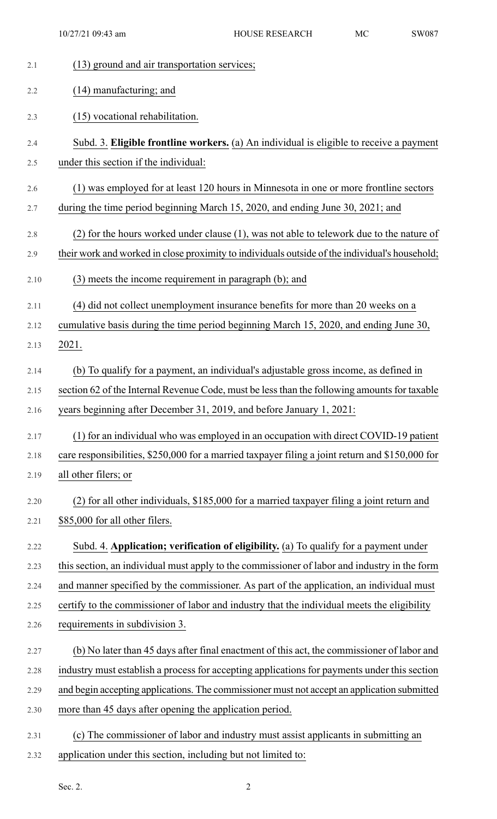10/27/21 09:43 am HOUSE RESEARCH MC SW087

| 2.1  | (13) ground and air transportation services;                                                    |
|------|-------------------------------------------------------------------------------------------------|
| 2.2  | (14) manufacturing; and                                                                         |
| 2.3  | (15) vocational rehabilitation.                                                                 |
| 2.4  | Subd. 3. Eligible frontline workers. (a) An individual is eligible to receive a payment         |
| 2.5  | under this section if the individual:                                                           |
| 2.6  | (1) was employed for at least 120 hours in Minnesota in one or more frontline sectors           |
| 2.7  | during the time period beginning March 15, 2020, and ending June 30, 2021; and                  |
| 2.8  | $(2)$ for the hours worked under clause $(1)$ , was not able to telework due to the nature of   |
| 2.9  | their work and worked in close proximity to individuals outside of the individual's household;  |
| 2.10 | (3) meets the income requirement in paragraph (b); and                                          |
| 2.11 | (4) did not collect unemployment insurance benefits for more than 20 weeks on a                 |
| 2.12 | cumulative basis during the time period beginning March 15, 2020, and ending June 30,           |
| 2.13 | 2021.                                                                                           |
| 2.14 | (b) To qualify for a payment, an individual's adjustable gross income, as defined in            |
| 2.15 | section 62 of the Internal Revenue Code, must be less than the following amounts for taxable    |
| 2.16 | years beginning after December 31, 2019, and before January 1, 2021:                            |
| 2.17 | (1) for an individual who was employed in an occupation with direct COVID-19 patient            |
| 2.18 | care responsibilities, \$250,000 for a married taxpayer filing a joint return and \$150,000 for |
| 2.19 | all other filers; or                                                                            |
| 2.20 | (2) for all other individuals, \$185,000 for a married taxpayer filing a joint return and       |
| 2.21 | \$85,000 for all other filers.                                                                  |
| 2.22 | Subd. 4. Application; verification of eligibility. (a) To qualify for a payment under           |
| 2.23 | this section, an individual must apply to the commissioner of labor and industry in the form    |
| 2.24 | and manner specified by the commissioner. As part of the application, an individual must        |
| 2.25 | certify to the commissioner of labor and industry that the individual meets the eligibility     |
| 2.26 | requirements in subdivision 3.                                                                  |
| 2.27 | (b) No later than 45 days after final enactment of this act, the commissioner of labor and      |
| 2.28 | industry must establish a process for accepting applications for payments under this section    |
| 2.29 | and begin accepting applications. The commissioner must not accept an application submitted     |
| 2.30 | more than 45 days after opening the application period.                                         |
| 2.31 | (c) The commissioner of labor and industry must assist applicants in submitting an              |
| 2.32 | application under this section, including but not limited to:                                   |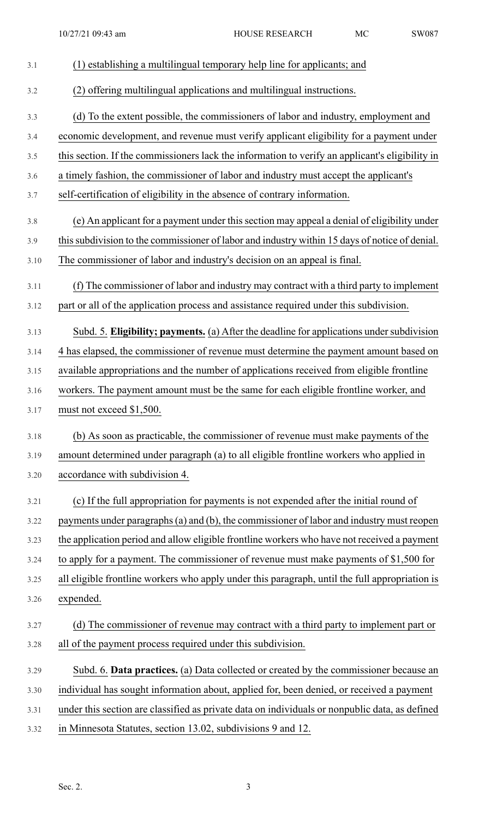- 3.1 (1) establishing a multilingual temporary help line for applicants; and 3.2 (2) offering multilingual applications and multilingual instructions. 3.3 (d) To the extent possible, the commissioners of labor and industry, employment and 3.4 economic development, and revenue must verify applicant eligibility for a payment under 3.5 this section. If the commissioners lack the information to verify an applicant's eligibility in 3.6 a timely fashion, the commissioner of labor and industry must accept the applicant's 3.7 self-certification of eligibility in the absence of contrary information. 3.8 (e) An applicant for a payment under thissection may appeal a denial of eligibility under 3.9 thissubdivision to the commissioner of labor and industry within 15 days of notice of denial. 3.10 The commissioner of labor and industry's decision on an appeal is final. 3.11 (f) The commissioner of labor and industry may contract with a third party to implement 3.12 part or all of the application process and assistance required under this subdivision. 3.13 Subd. 5. **Eligibility; payments.** (a) After the deadline for applications undersubdivision 3.14 4 has elapsed, the commissioner of revenue must determine the payment amount based on 3.15 available appropriations and the number of applications received from eligible frontline 3.16 workers. The payment amount must be the same for each eligible frontline worker, and 3.17 must not exceed \$1,500. 3.18 (b) As soon as practicable, the commissioner of revenue must make payments of the 3.19 amount determined under paragraph (a) to all eligible frontline workers who applied in 3.20 accordance with subdivision 4. 3.21 (c) If the full appropriation for payments is not expended after the initial round of 3.22 payments under paragraphs(a) and (b), the commissioner of labor and industry must reopen 3.23 the application period and allow eligible frontline workers who have not received a payment 3.24 to apply for a payment. The commissioner of revenue must make payments of \$1,500 for 3.25 all eligible frontline workers who apply under this paragraph, until the full appropriation is 3.26 expended. 3.27 (d) The commissioner of revenue may contract with a third party to implement part or 3.28 all of the payment process required under this subdivision. 3.29 Subd. 6. **Data practices.** (a) Data collected or created by the commissioner because an 3.30 individual has sought information about, applied for, been denied, or received a payment 3.31 under this section are classified as private data on individuals or nonpublic data, as defined
- 3.32 in Minnesota Statutes, section 13.02, subdivisions 9 and 12.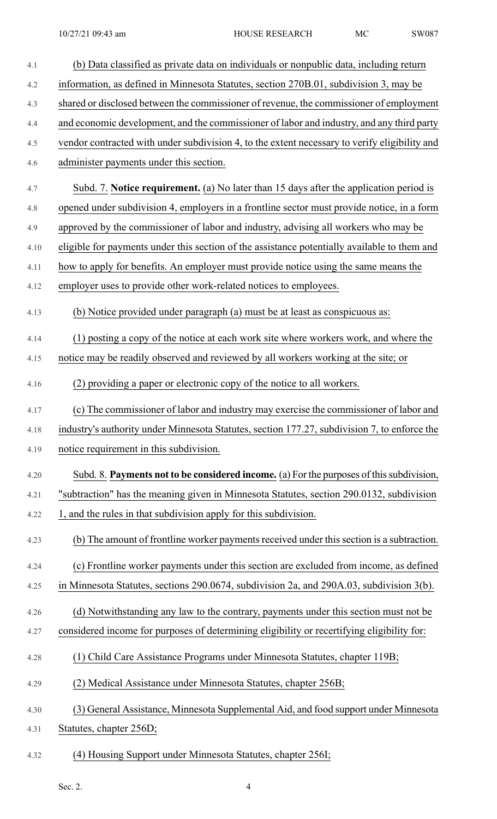| 4.1  | (b) Data classified as private data on individuals or nonpublic data, including return        |
|------|-----------------------------------------------------------------------------------------------|
| 4.2  | information, as defined in Minnesota Statutes, section 270B.01, subdivision 3, may be         |
| 4.3  | shared or disclosed between the commissioner of revenue, the commissioner of employment       |
| 4.4  | and economic development, and the commissioner of labor and industry, and any third party     |
| 4.5  | vendor contracted with under subdivision 4, to the extent necessary to verify eligibility and |
| 4.6  | administer payments under this section.                                                       |
| 4.7  | Subd. 7. Notice requirement. (a) No later than 15 days after the application period is        |
| 4.8  | opened under subdivision 4, employers in a frontline sector must provide notice, in a form    |
| 4.9  | approved by the commissioner of labor and industry, advising all workers who may be           |
| 4.10 | eligible for payments under this section of the assistance potentially available to them and  |
| 4.11 | how to apply for benefits. An employer must provide notice using the same means the           |
| 4.12 | employer uses to provide other work-related notices to employees.                             |
| 4.13 | (b) Notice provided under paragraph (a) must be at least as conspicuous as:                   |
| 4.14 | (1) posting a copy of the notice at each work site where workers work, and where the          |
| 4.15 | notice may be readily observed and reviewed by all workers working at the site; or            |
| 4.16 | (2) providing a paper or electronic copy of the notice to all workers.                        |
| 4.17 | (c) The commissioner of labor and industry may exercise the commissioner of labor and         |
| 4.18 | industry's authority under Minnesota Statutes, section 177.27, subdivision 7, to enforce the  |
| 4.19 | notice requirement in this subdivision.                                                       |
| 4.20 | Subd. 8. Payments not to be considered income. (a) For the purposes of this subdivision,      |
| 4.21 | "subtraction" has the meaning given in Minnesota Statutes, section 290.0132, subdivision      |
| 4.22 | 1, and the rules in that subdivision apply for this subdivision.                              |
| 4.23 | (b) The amount of frontline worker payments received under this section is a subtraction.     |
| 4.24 | (c) Frontline worker payments under this section are excluded from income, as defined         |
| 4.25 | in Minnesota Statutes, sections 290.0674, subdivision 2a, and 290A.03, subdivision 3(b).      |
| 4.26 | (d) Notwithstanding any law to the contrary, payments under this section must not be          |
| 4.27 | considered income for purposes of determining eligibility or recertifying eligibility for:    |
| 4.28 | (1) Child Care Assistance Programs under Minnesota Statutes, chapter 119B;                    |
| 4.29 | (2) Medical Assistance under Minnesota Statutes, chapter 256B;                                |
| 4.30 | (3) General Assistance, Minnesota Supplemental Aid, and food support under Minnesota          |
| 4.31 | Statutes, chapter 256D;                                                                       |
| 4.32 | (4) Housing Support under Minnesota Statutes, chapter 256I;                                   |

Sec. 2.  $4$